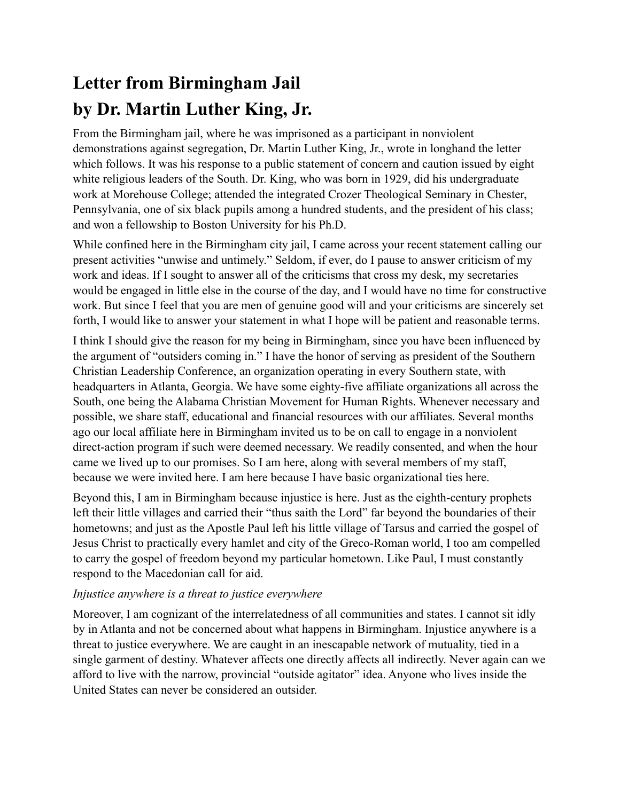# **Letter from Birmingham Jail by Dr. Martin Luther King, Jr.**

From the Birmingham jail, where he was imprisoned as a participant in nonviolent demonstrations against segregation, Dr. Martin Luther King, Jr., wrote in longhand the letter which follows. It was his response to a public statement of concern and caution issued by eight white religious leaders of the South. Dr. King, who was born in 1929, did his undergraduate work at Morehouse College; attended the integrated Crozer Theological Seminary in Chester, Pennsylvania, one of six black pupils among a hundred students, and the president of his class; and won a fellowship to Boston University for his Ph.D.

While confined here in the Birmingham city jail, I came across your recent statement calling our present activities "unwise and untimely." Seldom, if ever, do I pause to answer criticism of my work and ideas. If I sought to answer all of the criticisms that cross my desk, my secretaries would be engaged in little else in the course of the day, and I would have no time for constructive work. But since I feel that you are men of genuine good will and your criticisms are sincerely set forth, I would like to answer your statement in what I hope will be patient and reasonable terms.

I think I should give the reason for my being in Birmingham, since you have been influenced by the argument of "outsiders coming in." I have the honor of serving as president of the Southern Christian Leadership Conference, an organization operating in every Southern state, with headquarters in Atlanta, Georgia. We have some eighty-five affiliate organizations all across the South, one being the Alabama Christian Movement for Human Rights. Whenever necessary and possible, we share staff, educational and financial resources with our affiliates. Several months ago our local affiliate here in Birmingham invited us to be on call to engage in a nonviolent direct-action program if such were deemed necessary. We readily consented, and when the hour came we lived up to our promises. So I am here, along with several members of my staff, because we were invited here. I am here because I have basic organizational ties here.

Beyond this, I am in Birmingham because injustice is here. Just as the eighth-century prophets left their little villages and carried their "thus saith the Lord" far beyond the boundaries of their hometowns; and just as the Apostle Paul left his little village of Tarsus and carried the gospel of Jesus Christ to practically every hamlet and city of the Greco-Roman world, I too am compelled to carry the gospel of freedom beyond my particular hometown. Like Paul, I must constantly respond to the Macedonian call for aid.

## *Injustice anywhere is a threat to justice everywhere*

Moreover, I am cognizant of the interrelatedness of all communities and states. I cannot sit idly by in Atlanta and not be concerned about what happens in Birmingham. Injustice anywhere is a threat to justice everywhere. We are caught in an inescapable network of mutuality, tied in a single garment of destiny. Whatever affects one directly affects all indirectly. Never again can we afford to live with the narrow, provincial "outside agitator" idea. Anyone who lives inside the United States can never be considered an outsider.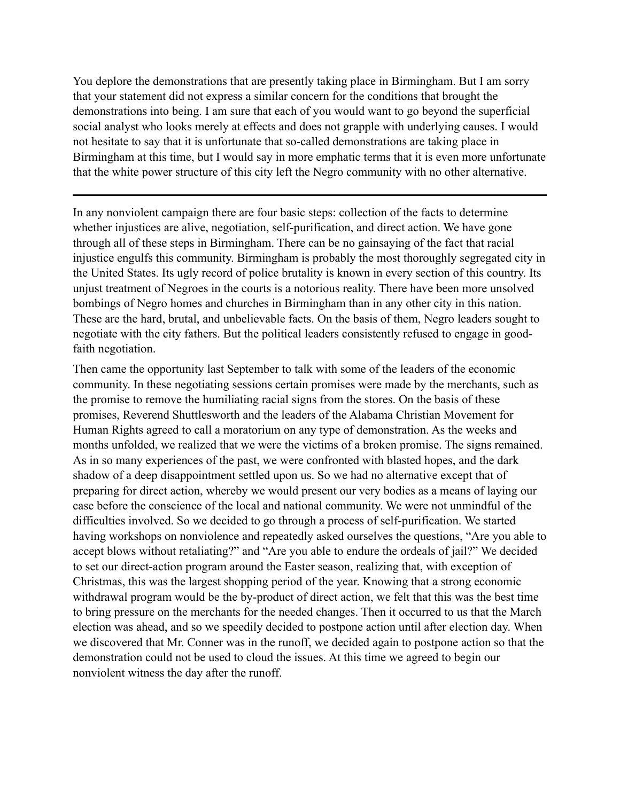You deplore the demonstrations that are presently taking place in Birmingham. But I am sorry that your statement did not express a similar concern for the conditions that brought the demonstrations into being. I am sure that each of you would want to go beyond the superficial social analyst who looks merely at effects and does not grapple with underlying causes. I would not hesitate to say that it is unfortunate that so-called demonstrations are taking place in Birmingham at this time, but I would say in more emphatic terms that it is even more unfortunate that the white power structure of this city left the Negro community with no other alternative.

In any nonviolent campaign there are four basic steps: collection of the facts to determine whether injustices are alive, negotiation, self-purification, and direct action. We have gone through all of these steps in Birmingham. There can be no gainsaying of the fact that racial injustice engulfs this community. Birmingham is probably the most thoroughly segregated city in the United States. Its ugly record of police brutality is known in every section of this country. Its unjust treatment of Negroes in the courts is a notorious reality. There have been more unsolved bombings of Negro homes and churches in Birmingham than in any other city in this nation. These are the hard, brutal, and unbelievable facts. On the basis of them, Negro leaders sought to negotiate with the city fathers. But the political leaders consistently refused to engage in goodfaith negotiation.

Then came the opportunity last September to talk with some of the leaders of the economic community. In these negotiating sessions certain promises were made by the merchants, such as the promise to remove the humiliating racial signs from the stores. On the basis of these promises, Reverend Shuttlesworth and the leaders of the Alabama Christian Movement for Human Rights agreed to call a moratorium on any type of demonstration. As the weeks and months unfolded, we realized that we were the victims of a broken promise. The signs remained. As in so many experiences of the past, we were confronted with blasted hopes, and the dark shadow of a deep disappointment settled upon us. So we had no alternative except that of preparing for direct action, whereby we would present our very bodies as a means of laying our case before the conscience of the local and national community. We were not unmindful of the difficulties involved. So we decided to go through a process of self-purification. We started having workshops on nonviolence and repeatedly asked ourselves the questions, "Are you able to accept blows without retaliating?" and "Are you able to endure the ordeals of jail?" We decided to set our direct-action program around the Easter season, realizing that, with exception of Christmas, this was the largest shopping period of the year. Knowing that a strong economic withdrawal program would be the by-product of direct action, we felt that this was the best time to bring pressure on the merchants for the needed changes. Then it occurred to us that the March election was ahead, and so we speedily decided to postpone action until after election day. When we discovered that Mr. Conner was in the runoff, we decided again to postpone action so that the demonstration could not be used to cloud the issues. At this time we agreed to begin our nonviolent witness the day after the runoff.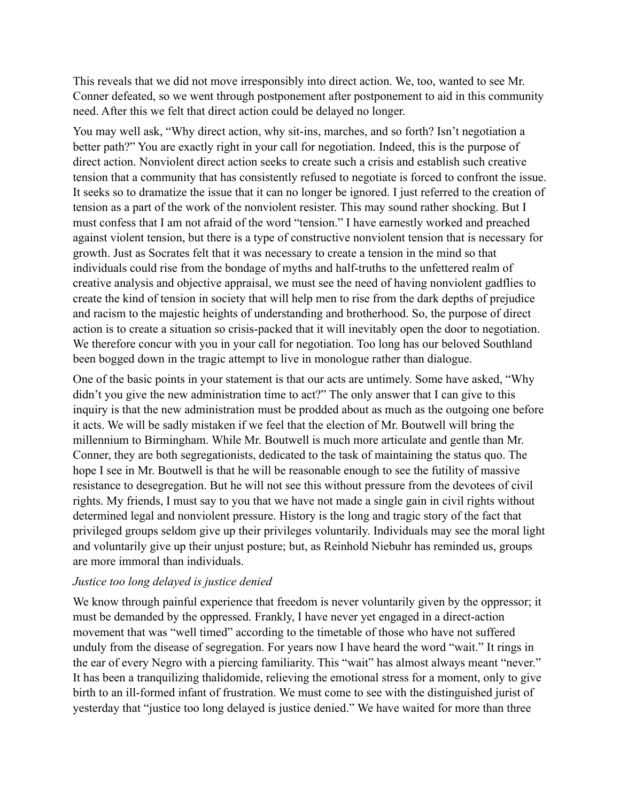This reveals that we did not move irresponsibly into direct action. We, too, wanted to see Mr. Conner defeated, so we went through postponement after postponement to aid in this community need. After this we felt that direct action could be delayed no longer.

You may well ask, "Why direct action, why sit-ins, marches, and so forth? Isn't negotiation a better path?" You are exactly right in your call for negotiation. Indeed, this is the purpose of direct action. Nonviolent direct action seeks to create such a crisis and establish such creative tension that a community that has consistently refused to negotiate is forced to confront the issue. It seeks so to dramatize the issue that it can no longer be ignored. I just referred to the creation of tension as a part of the work of the nonviolent resister. This may sound rather shocking. But I must confess that I am not afraid of the word "tension." I have earnestly worked and preached against violent tension, but there is a type of constructive nonviolent tension that is necessary for growth. Just as Socrates felt that it was necessary to create a tension in the mind so that individuals could rise from the bondage of myths and half-truths to the unfettered realm of creative analysis and objective appraisal, we must see the need of having nonviolent gadflies to create the kind of tension in society that will help men to rise from the dark depths of prejudice and racism to the majestic heights of understanding and brotherhood. So, the purpose of direct action is to create a situation so crisis-packed that it will inevitably open the door to negotiation. We therefore concur with you in your call for negotiation. Too long has our beloved Southland been bogged down in the tragic attempt to live in monologue rather than dialogue.

One of the basic points in your statement is that our acts are untimely. Some have asked, "Why didn't you give the new administration time to act?" The only answer that I can give to this inquiry is that the new administration must be prodded about as much as the outgoing one before it acts. We will be sadly mistaken if we feel that the election of Mr. Boutwell will bring the millennium to Birmingham. While Mr. Boutwell is much more articulate and gentle than Mr. Conner, they are both segregationists, dedicated to the task of maintaining the status quo. The hope I see in Mr. Boutwell is that he will be reasonable enough to see the futility of massive resistance to desegregation. But he will not see this without pressure from the devotees of civil rights. My friends, I must say to you that we have not made a single gain in civil rights without determined legal and nonviolent pressure. History is the long and tragic story of the fact that privileged groups seldom give up their privileges voluntarily. Individuals may see the moral light and voluntarily give up their unjust posture; but, as Reinhold Niebuhr has reminded us, groups are more immoral than individuals.

### *Justice too long delayed is justice denied*

We know through painful experience that freedom is never voluntarily given by the oppressor; it must be demanded by the oppressed. Frankly, I have never yet engaged in a direct-action movement that was "well timed" according to the timetable of those who have not suffered unduly from the disease of segregation. For years now I have heard the word "wait." It rings in the ear of every Negro with a piercing familiarity. This "wait" has almost always meant "never." It has been a tranquilizing thalidomide, relieving the emotional stress for a moment, only to give birth to an ill-formed infant of frustration. We must come to see with the distinguished jurist of yesterday that "justice too long delayed is justice denied." We have waited for more than three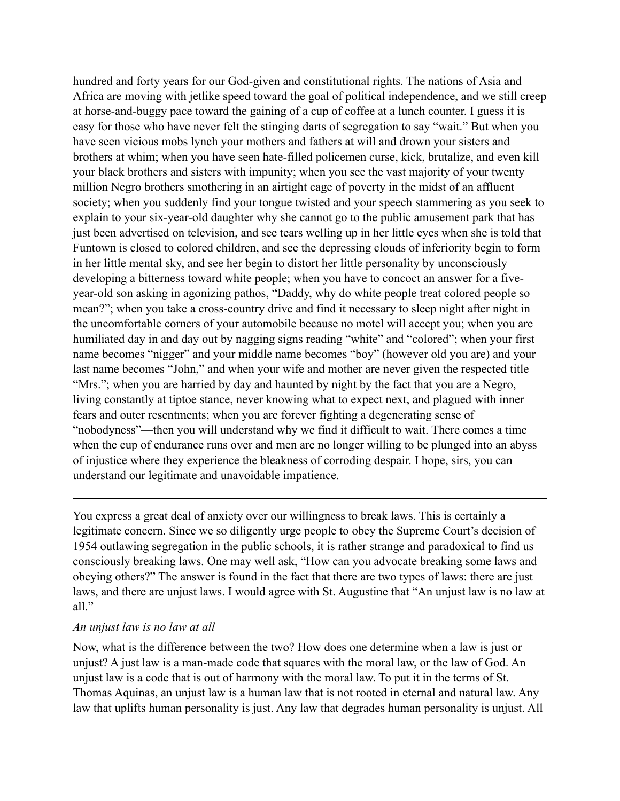hundred and forty years for our God-given and constitutional rights. The nations of Asia and Africa are moving with jetlike speed toward the goal of political independence, and we still creep at horse-and-buggy pace toward the gaining of a cup of coffee at a lunch counter. I guess it is easy for those who have never felt the stinging darts of segregation to say "wait." But when you have seen vicious mobs lynch your mothers and fathers at will and drown your sisters and brothers at whim; when you have seen hate-filled policemen curse, kick, brutalize, and even kill your black brothers and sisters with impunity; when you see the vast majority of your twenty million Negro brothers smothering in an airtight cage of poverty in the midst of an affluent society; when you suddenly find your tongue twisted and your speech stammering as you seek to explain to your six-year-old daughter why she cannot go to the public amusement park that has just been advertised on television, and see tears welling up in her little eyes when she is told that Funtown is closed to colored children, and see the depressing clouds of inferiority begin to form in her little mental sky, and see her begin to distort her little personality by unconsciously developing a bitterness toward white people; when you have to concoct an answer for a fiveyear-old son asking in agonizing pathos, "Daddy, why do white people treat colored people so mean?"; when you take a cross-country drive and find it necessary to sleep night after night in the uncomfortable corners of your automobile because no motel will accept you; when you are humiliated day in and day out by nagging signs reading "white" and "colored"; when your first name becomes "nigger" and your middle name becomes "boy" (however old you are) and your last name becomes "John," and when your wife and mother are never given the respected title "Mrs."; when you are harried by day and haunted by night by the fact that you are a Negro, living constantly at tiptoe stance, never knowing what to expect next, and plagued with inner fears and outer resentments; when you are forever fighting a degenerating sense of "nobodyness"—then you will understand why we find it difficult to wait. There comes a time when the cup of endurance runs over and men are no longer willing to be plunged into an abyss of injustice where they experience the bleakness of corroding despair. I hope, sirs, you can understand our legitimate and unavoidable impatience.

You express a great deal of anxiety over our willingness to break laws. This is certainly a legitimate concern. Since we so diligently urge people to obey the Supreme Court's decision of 1954 outlawing segregation in the public schools, it is rather strange and paradoxical to find us consciously breaking laws. One may well ask, "How can you advocate breaking some laws and obeying others?" The answer is found in the fact that there are two types of laws: there are just laws, and there are unjust laws. I would agree with St. Augustine that "An unjust law is no law at all."

### *An unjust law is no law at all*

Now, what is the difference between the two? How does one determine when a law is just or unjust? A just law is a man-made code that squares with the moral law, or the law of God. An unjust law is a code that is out of harmony with the moral law. To put it in the terms of St. Thomas Aquinas, an unjust law is a human law that is not rooted in eternal and natural law. Any law that uplifts human personality is just. Any law that degrades human personality is unjust. All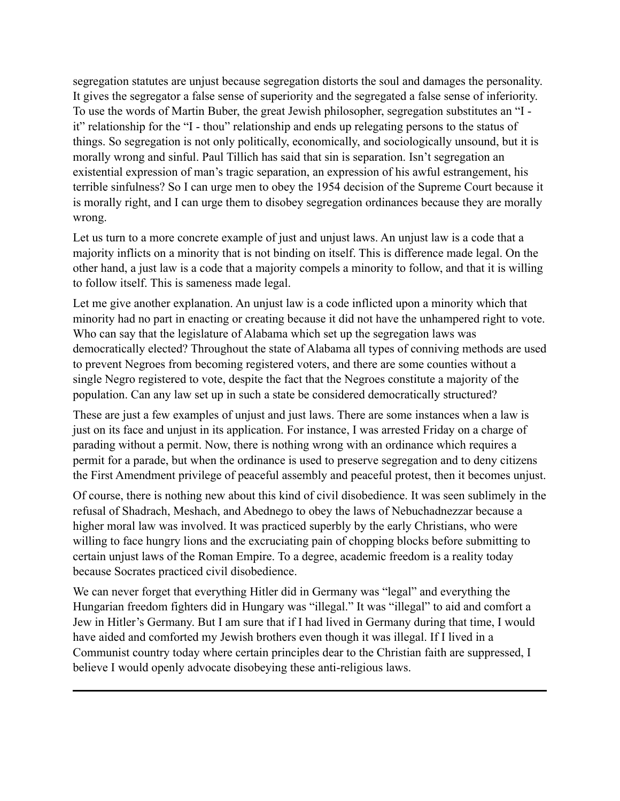segregation statutes are unjust because segregation distorts the soul and damages the personality. It gives the segregator a false sense of superiority and the segregated a false sense of inferiority. To use the words of Martin Buber, the great Jewish philosopher, segregation substitutes an "I it" relationship for the "I - thou" relationship and ends up relegating persons to the status of things. So segregation is not only politically, economically, and sociologically unsound, but it is morally wrong and sinful. Paul Tillich has said that sin is separation. Isn't segregation an existential expression of man's tragic separation, an expression of his awful estrangement, his terrible sinfulness? So I can urge men to obey the 1954 decision of the Supreme Court because it is morally right, and I can urge them to disobey segregation ordinances because they are morally wrong.

Let us turn to a more concrete example of just and unjust laws. An unjust law is a code that a majority inflicts on a minority that is not binding on itself. This is difference made legal. On the other hand, a just law is a code that a majority compels a minority to follow, and that it is willing to follow itself. This is sameness made legal.

Let me give another explanation. An unjust law is a code inflicted upon a minority which that minority had no part in enacting or creating because it did not have the unhampered right to vote. Who can say that the legislature of Alabama which set up the segregation laws was democratically elected? Throughout the state of Alabama all types of conniving methods are used to prevent Negroes from becoming registered voters, and there are some counties without a single Negro registered to vote, despite the fact that the Negroes constitute a majority of the population. Can any law set up in such a state be considered democratically structured?

These are just a few examples of unjust and just laws. There are some instances when a law is just on its face and unjust in its application. For instance, I was arrested Friday on a charge of parading without a permit. Now, there is nothing wrong with an ordinance which requires a permit for a parade, but when the ordinance is used to preserve segregation and to deny citizens the First Amendment privilege of peaceful assembly and peaceful protest, then it becomes unjust.

Of course, there is nothing new about this kind of civil disobedience. It was seen sublimely in the refusal of Shadrach, Meshach, and Abednego to obey the laws of Nebuchadnezzar because a higher moral law was involved. It was practiced superbly by the early Christians, who were willing to face hungry lions and the excruciating pain of chopping blocks before submitting to certain unjust laws of the Roman Empire. To a degree, academic freedom is a reality today because Socrates practiced civil disobedience.

We can never forget that everything Hitler did in Germany was "legal" and everything the Hungarian freedom fighters did in Hungary was "illegal." It was "illegal" to aid and comfort a Jew in Hitler's Germany. But I am sure that if I had lived in Germany during that time, I would have aided and comforted my Jewish brothers even though it was illegal. If I lived in a Communist country today where certain principles dear to the Christian faith are suppressed, I believe I would openly advocate disobeying these anti-religious laws.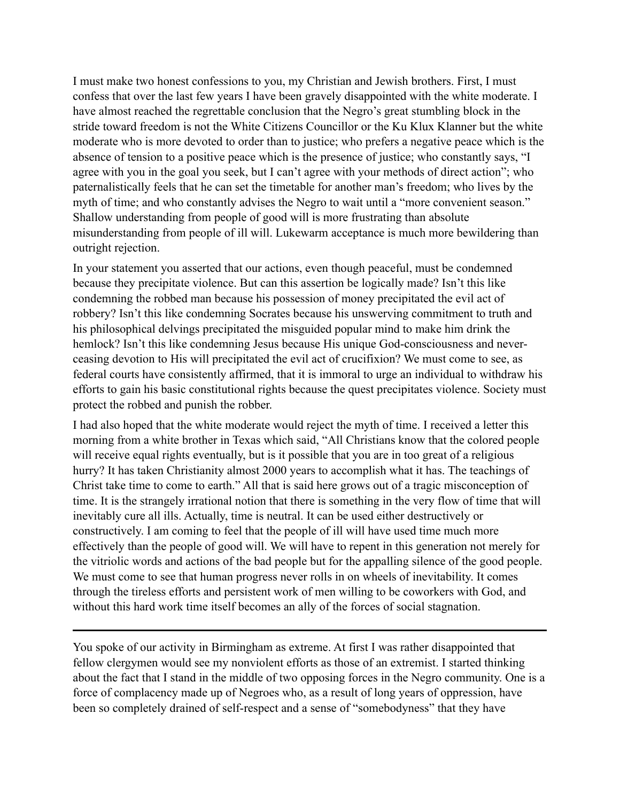I must make two honest confessions to you, my Christian and Jewish brothers. First, I must confess that over the last few years I have been gravely disappointed with the white moderate. I have almost reached the regrettable conclusion that the Negro's great stumbling block in the stride toward freedom is not the White Citizens Councillor or the Ku Klux Klanner but the white moderate who is more devoted to order than to justice; who prefers a negative peace which is the absence of tension to a positive peace which is the presence of justice; who constantly says, "I agree with you in the goal you seek, but I can't agree with your methods of direct action"; who paternalistically feels that he can set the timetable for another man's freedom; who lives by the myth of time; and who constantly advises the Negro to wait until a "more convenient season." Shallow understanding from people of good will is more frustrating than absolute misunderstanding from people of ill will. Lukewarm acceptance is much more bewildering than outright rejection.

In your statement you asserted that our actions, even though peaceful, must be condemned because they precipitate violence. But can this assertion be logically made? Isn't this like condemning the robbed man because his possession of money precipitated the evil act of robbery? Isn't this like condemning Socrates because his unswerving commitment to truth and his philosophical delvings precipitated the misguided popular mind to make him drink the hemlock? Isn't this like condemning Jesus because His unique God-consciousness and neverceasing devotion to His will precipitated the evil act of crucifixion? We must come to see, as federal courts have consistently affirmed, that it is immoral to urge an individual to withdraw his efforts to gain his basic constitutional rights because the quest precipitates violence. Society must protect the robbed and punish the robber.

I had also hoped that the white moderate would reject the myth of time. I received a letter this morning from a white brother in Texas which said, "All Christians know that the colored people will receive equal rights eventually, but is it possible that you are in too great of a religious hurry? It has taken Christianity almost 2000 years to accomplish what it has. The teachings of Christ take time to come to earth." All that is said here grows out of a tragic misconception of time. It is the strangely irrational notion that there is something in the very flow of time that will inevitably cure all ills. Actually, time is neutral. It can be used either destructively or constructively. I am coming to feel that the people of ill will have used time much more effectively than the people of good will. We will have to repent in this generation not merely for the vitriolic words and actions of the bad people but for the appalling silence of the good people. We must come to see that human progress never rolls in on wheels of inevitability. It comes through the tireless efforts and persistent work of men willing to be coworkers with God, and without this hard work time itself becomes an ally of the forces of social stagnation.

You spoke of our activity in Birmingham as extreme. At first I was rather disappointed that fellow clergymen would see my nonviolent efforts as those of an extremist. I started thinking about the fact that I stand in the middle of two opposing forces in the Negro community. One is a force of complacency made up of Negroes who, as a result of long years of oppression, have been so completely drained of self-respect and a sense of "somebodyness" that they have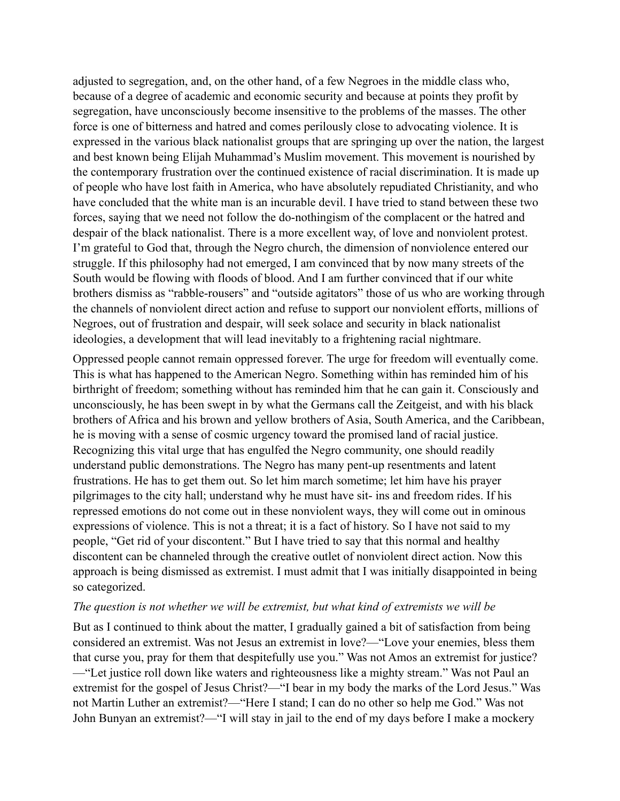adjusted to segregation, and, on the other hand, of a few Negroes in the middle class who, because of a degree of academic and economic security and because at points they profit by segregation, have unconsciously become insensitive to the problems of the masses. The other force is one of bitterness and hatred and comes perilously close to advocating violence. It is expressed in the various black nationalist groups that are springing up over the nation, the largest and best known being Elijah Muhammad's Muslim movement. This movement is nourished by the contemporary frustration over the continued existence of racial discrimination. It is made up of people who have lost faith in America, who have absolutely repudiated Christianity, and who have concluded that the white man is an incurable devil. I have tried to stand between these two forces, saying that we need not follow the do-nothingism of the complacent or the hatred and despair of the black nationalist. There is a more excellent way, of love and nonviolent protest. I'm grateful to God that, through the Negro church, the dimension of nonviolence entered our struggle. If this philosophy had not emerged, I am convinced that by now many streets of the South would be flowing with floods of blood. And I am further convinced that if our white brothers dismiss as "rabble-rousers" and "outside agitators" those of us who are working through the channels of nonviolent direct action and refuse to support our nonviolent efforts, millions of Negroes, out of frustration and despair, will seek solace and security in black nationalist ideologies, a development that will lead inevitably to a frightening racial nightmare.

Oppressed people cannot remain oppressed forever. The urge for freedom will eventually come. This is what has happened to the American Negro. Something within has reminded him of his birthright of freedom; something without has reminded him that he can gain it. Consciously and unconsciously, he has been swept in by what the Germans call the Zeitgeist, and with his black brothers of Africa and his brown and yellow brothers of Asia, South America, and the Caribbean, he is moving with a sense of cosmic urgency toward the promised land of racial justice. Recognizing this vital urge that has engulfed the Negro community, one should readily understand public demonstrations. The Negro has many pent-up resentments and latent frustrations. He has to get them out. So let him march sometime; let him have his prayer pilgrimages to the city hall; understand why he must have sit- ins and freedom rides. If his repressed emotions do not come out in these nonviolent ways, they will come out in ominous expressions of violence. This is not a threat; it is a fact of history. So I have not said to my people, "Get rid of your discontent." But I have tried to say that this normal and healthy discontent can be channeled through the creative outlet of nonviolent direct action. Now this approach is being dismissed as extremist. I must admit that I was initially disappointed in being so categorized.

#### *The question is not whether we will be extremist, but what kind of extremists we will be*

But as I continued to think about the matter, I gradually gained a bit of satisfaction from being considered an extremist. Was not Jesus an extremist in love?—"Love your enemies, bless them that curse you, pray for them that despitefully use you." Was not Amos an extremist for justice? —"Let justice roll down like waters and righteousness like a mighty stream." Was not Paul an extremist for the gospel of Jesus Christ?—"I bear in my body the marks of the Lord Jesus." Was not Martin Luther an extremist?—"Here I stand; I can do no other so help me God." Was not John Bunyan an extremist?—"I will stay in jail to the end of my days before I make a mockery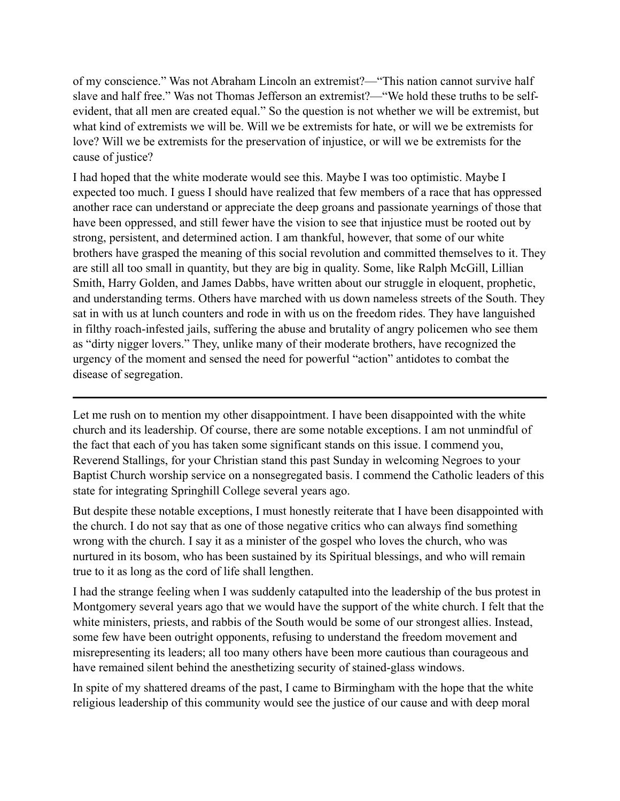of my conscience." Was not Abraham Lincoln an extremist?—"This nation cannot survive half slave and half free." Was not Thomas Jefferson an extremist?—"We hold these truths to be selfevident, that all men are created equal." So the question is not whether we will be extremist, but what kind of extremists we will be. Will we be extremists for hate, or will we be extremists for love? Will we be extremists for the preservation of injustice, or will we be extremists for the cause of justice?

I had hoped that the white moderate would see this. Maybe I was too optimistic. Maybe I expected too much. I guess I should have realized that few members of a race that has oppressed another race can understand or appreciate the deep groans and passionate yearnings of those that have been oppressed, and still fewer have the vision to see that injustice must be rooted out by strong, persistent, and determined action. I am thankful, however, that some of our white brothers have grasped the meaning of this social revolution and committed themselves to it. They are still all too small in quantity, but they are big in quality. Some, like Ralph McGill, Lillian Smith, Harry Golden, and James Dabbs, have written about our struggle in eloquent, prophetic, and understanding terms. Others have marched with us down nameless streets of the South. They sat in with us at lunch counters and rode in with us on the freedom rides. They have languished in filthy roach-infested jails, suffering the abuse and brutality of angry policemen who see them as "dirty nigger lovers." They, unlike many of their moderate brothers, have recognized the urgency of the moment and sensed the need for powerful "action" antidotes to combat the disease of segregation.

Let me rush on to mention my other disappointment. I have been disappointed with the white church and its leadership. Of course, there are some notable exceptions. I am not unmindful of the fact that each of you has taken some significant stands on this issue. I commend you, Reverend Stallings, for your Christian stand this past Sunday in welcoming Negroes to your Baptist Church worship service on a nonsegregated basis. I commend the Catholic leaders of this state for integrating Springhill College several years ago.

But despite these notable exceptions, I must honestly reiterate that I have been disappointed with the church. I do not say that as one of those negative critics who can always find something wrong with the church. I say it as a minister of the gospel who loves the church, who was nurtured in its bosom, who has been sustained by its Spiritual blessings, and who will remain true to it as long as the cord of life shall lengthen.

I had the strange feeling when I was suddenly catapulted into the leadership of the bus protest in Montgomery several years ago that we would have the support of the white church. I felt that the white ministers, priests, and rabbis of the South would be some of our strongest allies. Instead, some few have been outright opponents, refusing to understand the freedom movement and misrepresenting its leaders; all too many others have been more cautious than courageous and have remained silent behind the anesthetizing security of stained-glass windows.

In spite of my shattered dreams of the past, I came to Birmingham with the hope that the white religious leadership of this community would see the justice of our cause and with deep moral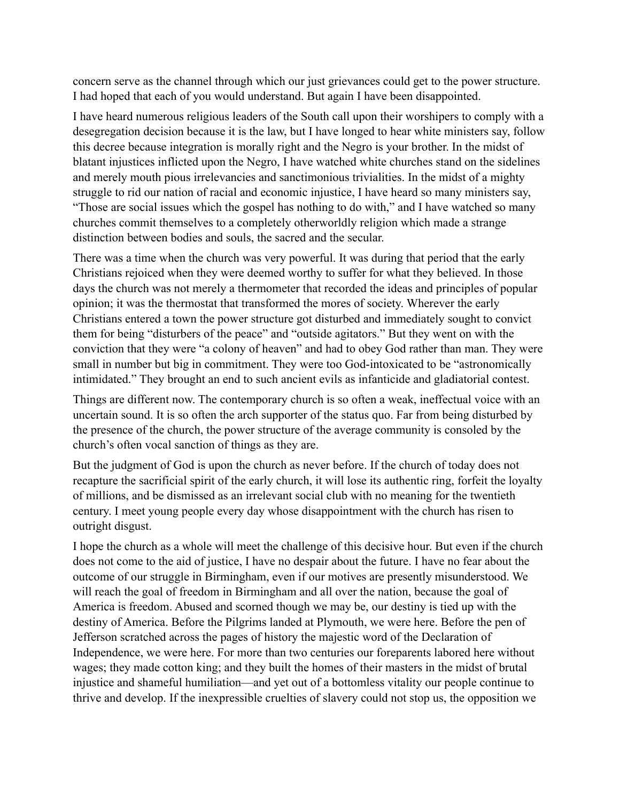concern serve as the channel through which our just grievances could get to the power structure. I had hoped that each of you would understand. But again I have been disappointed.

I have heard numerous religious leaders of the South call upon their worshipers to comply with a desegregation decision because it is the law, but I have longed to hear white ministers say, follow this decree because integration is morally right and the Negro is your brother. In the midst of blatant injustices inflicted upon the Negro, I have watched white churches stand on the sidelines and merely mouth pious irrelevancies and sanctimonious trivialities. In the midst of a mighty struggle to rid our nation of racial and economic injustice, I have heard so many ministers say, "Those are social issues which the gospel has nothing to do with," and I have watched so many churches commit themselves to a completely otherworldly religion which made a strange distinction between bodies and souls, the sacred and the secular.

There was a time when the church was very powerful. It was during that period that the early Christians rejoiced when they were deemed worthy to suffer for what they believed. In those days the church was not merely a thermometer that recorded the ideas and principles of popular opinion; it was the thermostat that transformed the mores of society. Wherever the early Christians entered a town the power structure got disturbed and immediately sought to convict them for being "disturbers of the peace" and "outside agitators." But they went on with the conviction that they were "a colony of heaven" and had to obey God rather than man. They were small in number but big in commitment. They were too God-intoxicated to be "astronomically intimidated." They brought an end to such ancient evils as infanticide and gladiatorial contest.

Things are different now. The contemporary church is so often a weak, ineffectual voice with an uncertain sound. It is so often the arch supporter of the status quo. Far from being disturbed by the presence of the church, the power structure of the average community is consoled by the church's often vocal sanction of things as they are.

But the judgment of God is upon the church as never before. If the church of today does not recapture the sacrificial spirit of the early church, it will lose its authentic ring, forfeit the loyalty of millions, and be dismissed as an irrelevant social club with no meaning for the twentieth century. I meet young people every day whose disappointment with the church has risen to outright disgust.

I hope the church as a whole will meet the challenge of this decisive hour. But even if the church does not come to the aid of justice, I have no despair about the future. I have no fear about the outcome of our struggle in Birmingham, even if our motives are presently misunderstood. We will reach the goal of freedom in Birmingham and all over the nation, because the goal of America is freedom. Abused and scorned though we may be, our destiny is tied up with the destiny of America. Before the Pilgrims landed at Plymouth, we were here. Before the pen of Jefferson scratched across the pages of history the majestic word of the Declaration of Independence, we were here. For more than two centuries our foreparents labored here without wages; they made cotton king; and they built the homes of their masters in the midst of brutal injustice and shameful humiliation—and yet out of a bottomless vitality our people continue to thrive and develop. If the inexpressible cruelties of slavery could not stop us, the opposition we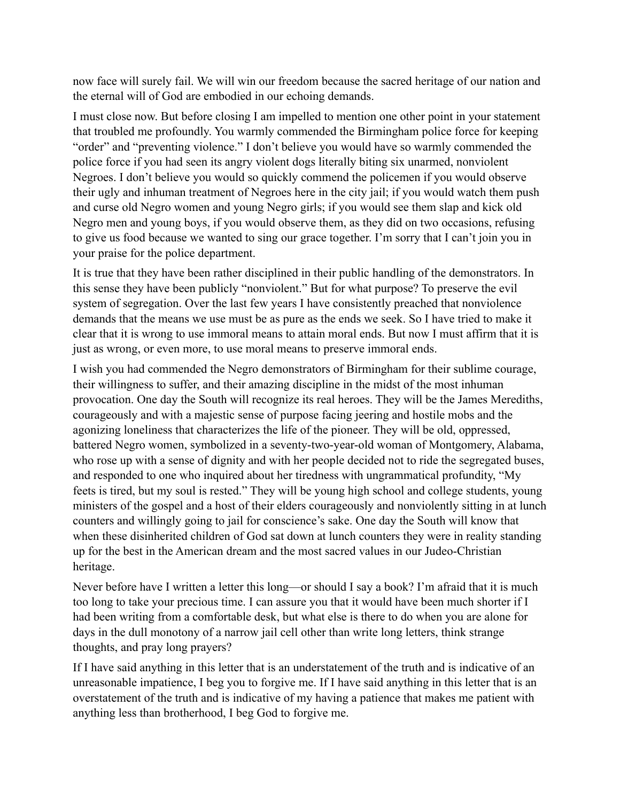now face will surely fail. We will win our freedom because the sacred heritage of our nation and the eternal will of God are embodied in our echoing demands.

I must close now. But before closing I am impelled to mention one other point in your statement that troubled me profoundly. You warmly commended the Birmingham police force for keeping "order" and "preventing violence." I don't believe you would have so warmly commended the police force if you had seen its angry violent dogs literally biting six unarmed, nonviolent Negroes. I don't believe you would so quickly commend the policemen if you would observe their ugly and inhuman treatment of Negroes here in the city jail; if you would watch them push and curse old Negro women and young Negro girls; if you would see them slap and kick old Negro men and young boys, if you would observe them, as they did on two occasions, refusing to give us food because we wanted to sing our grace together. I'm sorry that I can't join you in your praise for the police department.

It is true that they have been rather disciplined in their public handling of the demonstrators. In this sense they have been publicly "nonviolent." But for what purpose? To preserve the evil system of segregation. Over the last few years I have consistently preached that nonviolence demands that the means we use must be as pure as the ends we seek. So I have tried to make it clear that it is wrong to use immoral means to attain moral ends. But now I must affirm that it is just as wrong, or even more, to use moral means to preserve immoral ends.

I wish you had commended the Negro demonstrators of Birmingham for their sublime courage, their willingness to suffer, and their amazing discipline in the midst of the most inhuman provocation. One day the South will recognize its real heroes. They will be the James Merediths, courageously and with a majestic sense of purpose facing jeering and hostile mobs and the agonizing loneliness that characterizes the life of the pioneer. They will be old, oppressed, battered Negro women, symbolized in a seventy-two-year-old woman of Montgomery, Alabama, who rose up with a sense of dignity and with her people decided not to ride the segregated buses, and responded to one who inquired about her tiredness with ungrammatical profundity, "My feets is tired, but my soul is rested." They will be young high school and college students, young ministers of the gospel and a host of their elders courageously and nonviolently sitting in at lunch counters and willingly going to jail for conscience's sake. One day the South will know that when these disinherited children of God sat down at lunch counters they were in reality standing up for the best in the American dream and the most sacred values in our Judeo-Christian heritage.

Never before have I written a letter this long—or should I say a book? I'm afraid that it is much too long to take your precious time. I can assure you that it would have been much shorter if I had been writing from a comfortable desk, but what else is there to do when you are alone for days in the dull monotony of a narrow jail cell other than write long letters, think strange thoughts, and pray long prayers?

If I have said anything in this letter that is an understatement of the truth and is indicative of an unreasonable impatience, I beg you to forgive me. If I have said anything in this letter that is an overstatement of the truth and is indicative of my having a patience that makes me patient with anything less than brotherhood, I beg God to forgive me.